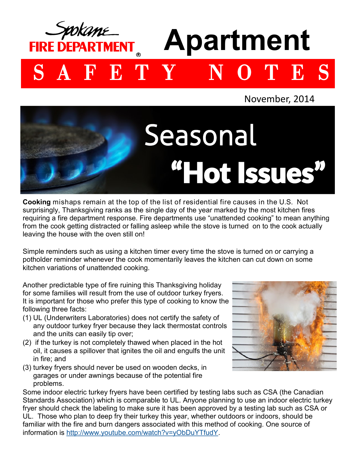## **Apartment FIRE DEPARTMENT** SAFETY NOTES





**Cooking** mishaps remain at the top of the list of residential fire causes in the U.S. Not surprisingly, Thanksgiving ranks as the single day of the year marked by the most kitchen fires requiring a fire department response. Fire departments use "unattended cooking" to mean anything from the cook getting distracted or falling asleep while the stove is turned on to the cook actually leaving the house with the oven still on!

Simple reminders such as using a kitchen timer every time the stove is turned on or carrying a potholder reminder whenever the cook momentarily leaves the kitchen can cut down on some kitchen variations of unattended cooking.

Another predictable type of fire ruining this Thanksgiving holiday for some families will result from the use of outdoor turkey fryers. It is important for those who prefer this type of cooking to know the following three facts:

- (1) UL (Underwriters Laboratories) does not certify the safety of any outdoor turkey fryer because they lack thermostat controls and the units can easily tip over;
- (2) if the turkey is not completely thawed when placed in the hot oil, it causes a spillover that ignites the oil and engulfs the unit in fire; and
- (3) turkey fryers should never be used on wooden decks, in garages or under awnings because of the potential fire problems.



Some indoor electric turkey fryers have been certified by testing labs such as CSA (the Canadian Standards Association) which is comparable to UL. Anyone planning to use an indoor electric turkey fryer should check the labeling to make sure it has been approved by a testing lab such as CSA or UL. Those who plan to deep fry their turkey this year, whether outdoors or indoors, should be familiar with the fire and burn dangers associated with this method of cooking. One source of information is [http://www.youtube.com/watch?v=yObDuYTfudY.](http://www.youtube.com/watch?v=yObDuYTfudY)